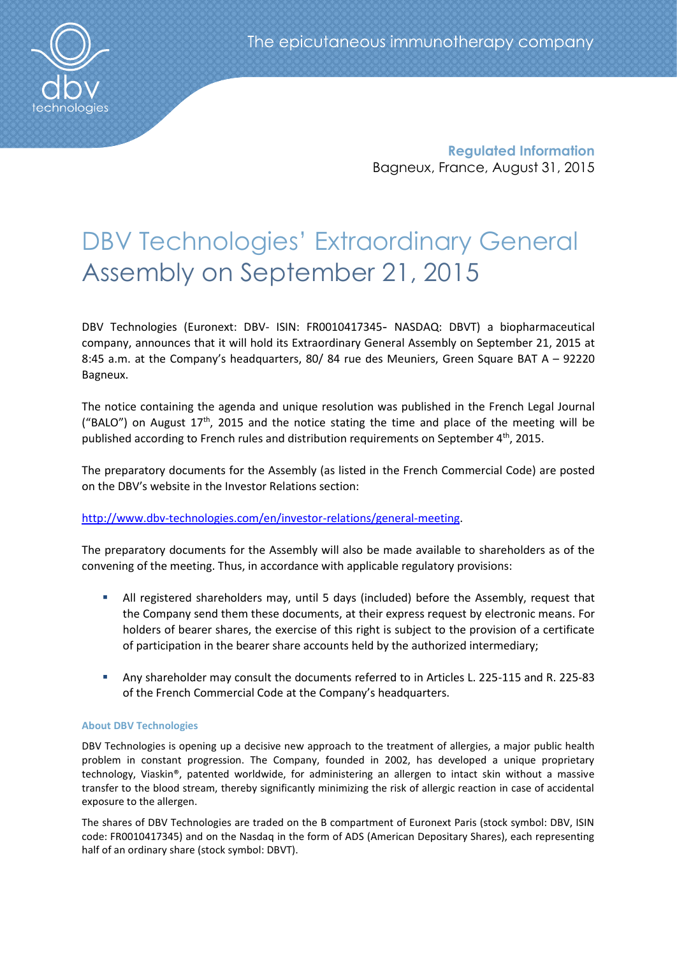

**Regulated Information** Bagneux, France, August 31, 2015

# DBV Technologies' Extraordinary General Assembly on September 21, 2015

DBV Technologies (Euronext: DBV- ISIN: FR0010417345- NASDAQ: DBVT) a biopharmaceutical company, announces that it will hold its Extraordinary General Assembly on September 21, 2015 at 8:45 a.m. at the Company's headquarters, 80/ 84 rue des Meuniers, Green Square BAT A – 92220 Bagneux.

The notice containing the agenda and unique resolution was published in the French Legal Journal ("BALO") on August  $17<sup>th</sup>$ , 2015 and the notice stating the time and place of the meeting will be published according to French rules and distribution requirements on September 4<sup>th</sup>, 2015.

The preparatory documents for the Assembly (as listed in the French Commercial Code) are posted on the DBV's website in the Investor Relations section:

# [http://www.dbv-technologies.com/en/investor-relations/general-meeting.](http://www.dbv-technologies.com/en/investor-relations/general-meeting)

The preparatory documents for the Assembly will also be made available to shareholders as of the convening of the meeting. Thus, in accordance with applicable regulatory provisions:

- All registered shareholders may, until 5 days (included) before the Assembly, request that the Company send them these documents, at their express request by electronic means. For holders of bearer shares, the exercise of this right is subject to the provision of a certificate of participation in the bearer share accounts held by the authorized intermediary;
- Any shareholder may consult the documents referred to in Articles L. 225-115 and R. 225-83 of the French Commercial Code at the Company's headquarters.

# **About DBV Technologies**

DBV Technologies is opening up a decisive new approach to the treatment of allergies, a major public health problem in constant progression. The Company, founded in 2002, has developed a unique proprietary technology, Viaskin®, patented worldwide, for administering an allergen to intact skin without a massive transfer to the blood stream, thereby significantly minimizing the risk of allergic reaction in case of accidental exposure to the allergen.

The shares of DBV Technologies are traded on the B compartment of Euronext Paris (stock symbol: DBV, ISIN code: FR0010417345) and on the Nasdaq in the form of ADS (American Depositary Shares), each representing half of an ordinary share (stock symbol: DBVT).